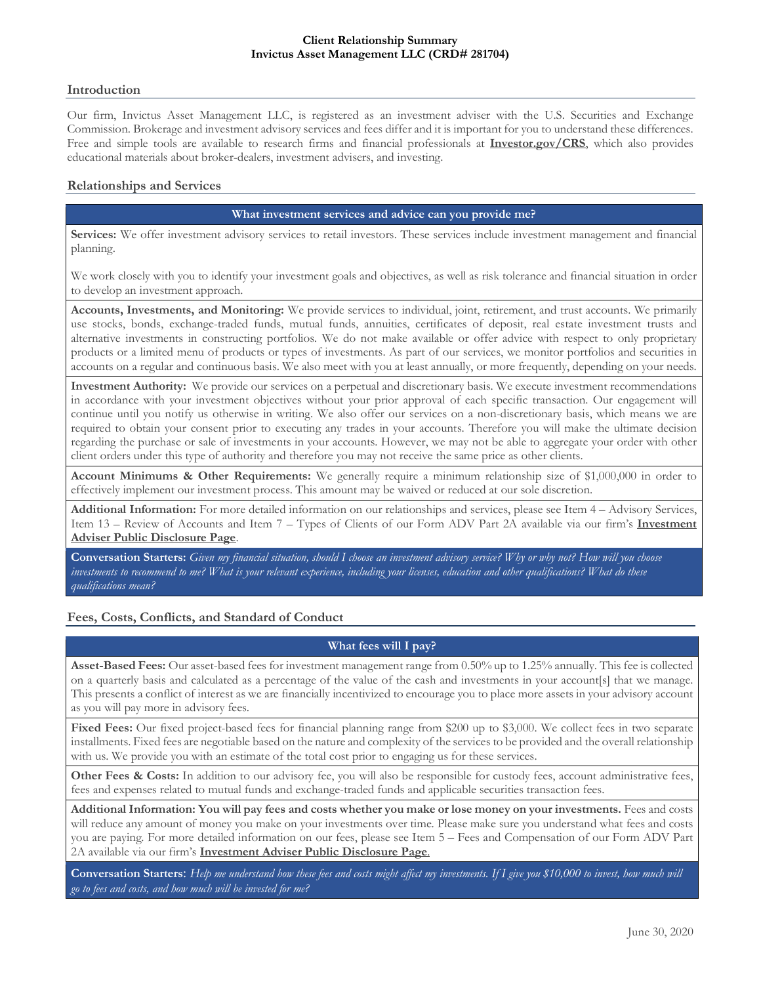#### **Client Relationship Summary Invictus Asset Management LLC (CRD# 281704)**

## **Introduction**

Our firm, Invictus Asset Management LLC, is registered as an investment adviser with the U.S. Securities and Exchange Commission. Brokerage and investment advisory services and fees differ and it is important for you to understand these differences. Free and simple tools are available to research firms and financial professionals at **Investor.gov/CRS**, which also provides educational materials about broker-dealers, investment advisers, and investing.

# **Relationships and Services**

## **What investment services and advice can you provide me?**

**Services:** We offer investment advisory services to retail investors. These services include investment management and financial planning.

We work closely with you to identify your investment goals and objectives, as well as risk tolerance and financial situation in order to develop an investment approach.

**Accounts, Investments, and Monitoring:** We provide services to individual, joint, retirement, and trust accounts. We primarily use stocks, bonds, exchange-traded funds, mutual funds, annuities, certificates of deposit, real estate investment trusts and alternative investments in constructing portfolios. We do not make available or offer advice with respect to only proprietary products or a limited menu of products or types of investments. As part of our services, we monitor portfolios and securities in accounts on a regular and continuous basis. We also meet with you at least annually, or more frequently, depending on your needs.

**Investment Authority:** We provide our services on a perpetual and discretionary basis. We execute investment recommendations in accordance with your investment objectives without your prior approval of each specific transaction. Our engagement will continue until you notify us otherwise in writing. We also offer our services on a non-discretionary basis, which means we are required to obtain your consent prior to executing any trades in your accounts. Therefore you will make the ultimate decision regarding the purchase or sale of investments in your accounts. However, we may not be able to aggregate your order with other client orders under this type of authority and therefore you may not receive the same price as other clients.

**Account Minimums & Other Requirements:** We generally require a minimum relationship size of \$1,000,000 in order to effectively implement our investment process. This amount may be waived or reduced at our sole discretion.

**Additional Information:** For more detailed information on our relationships and services, please see Item 4 – Advisory Services, Item 13 – Review of Accounts and Item 7 – Types of Clients of our Form ADV Part 2A available via our firm's **Investment Adviser Public Disclosure Page**.

**Conversation Starters:** *Given my financial situation, should I choose an investment advisory service? Why or why not? How will you choose investments to recommend to me? What is your relevant experience, including your licenses, education and other qualifications? What do these qualifications mean?*

## **Fees, Costs, Conflicts, and Standard of Conduct**

## **What fees will I pay?**

**Asset-Based Fees:** Our asset-based fees for investment management range from 0.50% up to 1.25% annually. This fee is collected on a quarterly basis and calculated as a percentage of the value of the cash and investments in your account[s] that we manage. This presents a conflict of interest as we are financially incentivized to encourage you to place more assets in your advisory account as you will pay more in advisory fees.

**Fixed Fees:** Our fixed project-based fees for financial planning range from \$200 up to \$3,000. We collect fees in two separate installments. Fixed fees are negotiable based on the nature and complexity of the services to be provided and the overall relationship with us. We provide you with an estimate of the total cost prior to engaging us for these services.

Other Fees & Costs: In addition to our advisory fee, you will also be responsible for custody fees, account administrative fees, fees and expenses related to mutual funds and exchange-traded funds and applicable securities transaction fees.

**Additional Information: You will pay fees and costs whether you make or lose money on your investments.** Fees and costs will reduce any amount of money you make on your investments over time. Please make sure you understand what fees and costs you are paying. For more detailed information on our fees, please see Item 5 – Fees and Compensation of our Form ADV Part 2A available via our firm's **Investment Adviser Public Disclosure Page**.

**Conversation Starters**: *Help me understand how these fees and costs might affect my investments. If I give you \$10,000 to invest, how much will go to fees and costs, and how much will be invested for me?*